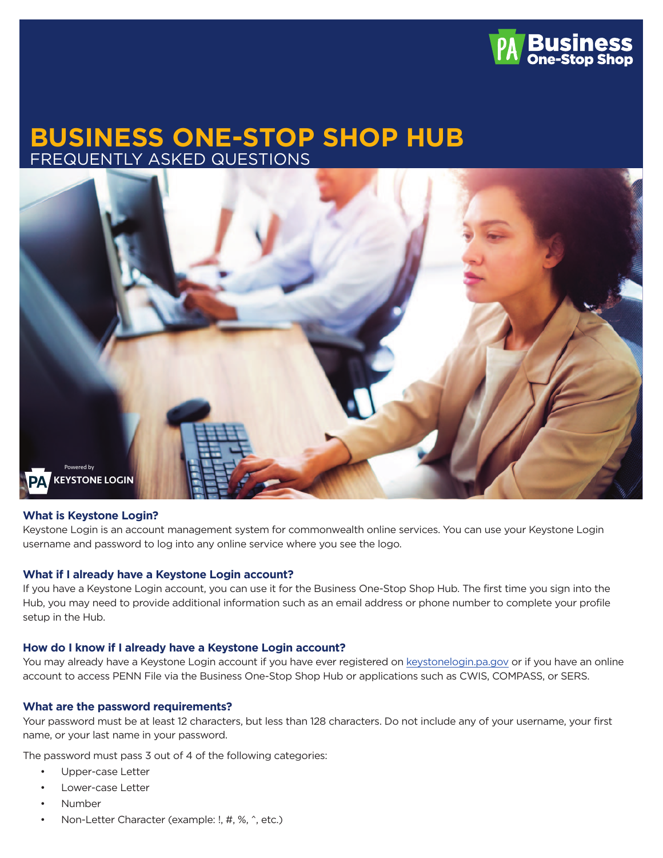

# **BUSINESS ONE-STOP SHOP HUB** FREQUENTLY ASKED QUESTIONS



#### **What is Keystone Login?**

Keystone Login is an account management system for commonwealth online services. You can use your Keystone Login username and password to log into any online service where you see the logo.

#### **What if I already have a Keystone Login account?**

If you have a Keystone Login account, you can use it for the Business One-Stop Shop Hub. The first time you sign into the Hub, you may need to provide additional information such as an email address or phone number to complete your profile setup in the Hub.

#### **How do I know if I already have a Keystone Login account?**

You may already have a Keystone Login account if you have ever registered on [keystonelogin.pa.gov](https://keystonelogin.pa.gov/) or if you have an online account to access PENN File via the Business One-Stop Shop Hub or applications such as CWIS, COMPASS, or SERS.

#### **What are the password requirements?**

Your password must be at least 12 characters, but less than 128 characters. Do not include any of your username, your first name, or your last name in your password.

The password must pass 3 out of 4 of the following categories:

- Upper-case Letter
- Lower-case Letter
- Number
- Non-Letter Character (example: !, #, %, ^, etc.)